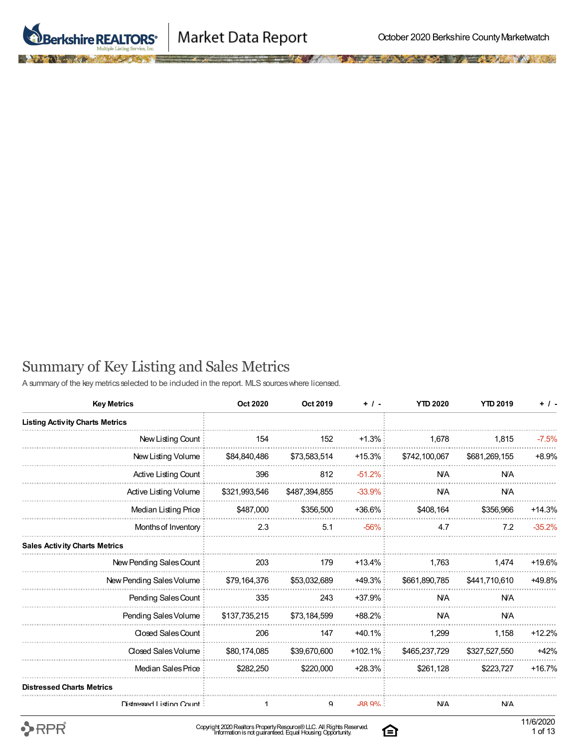



## Summary of Key Listing and Sales Metrics

A summary of the key metrics selected to be included in the report. MLS sources where licensed.

| <b>Key Metrics</b>                     | Oct 2020      | Oct 2019      | $+$ / -    | <b>YTD 2020</b> | <b>YTD 2019</b> | $+$ / -  |
|----------------------------------------|---------------|---------------|------------|-----------------|-----------------|----------|
| <b>Listing Activity Charts Metrics</b> |               |               |            |                 |                 |          |
| New Listing Count                      | 154           | 152           | $+1.3%$    | 1,678           | 1,815           | $-7.5%$  |
| New Listing Volume                     | \$84,840,486  | \$73,583,514  | $+15.3%$   | \$742,100,067   | \$681,269,155   | $+8.9%$  |
| Active Listing Count                   | 396           | 812           | $-51.2%$   | <b>N/A</b>      | <b>N/A</b>      |          |
| <b>Active Listing Volume</b>           | \$321,993,546 | \$487,394,855 | $-33.9%$   | <b>N/A</b>      | <b>N/A</b>      |          |
| Median Listing Price                   | \$487,000     | \$356,500     | +36.6%     | \$408,164       | \$356.966       | $+14.3%$ |
| Months of Inventory                    | 2.3           | 5.1           | $-56%$     | 4.7             | 7.2             | $-35.2%$ |
| <b>Sales Activity Charts Metrics</b>   |               |               |            |                 |                 |          |
| New Pending Sales Count                | 203           | 179           | $+13.4\%$  | 1,763           | 1.474           | +19.6%   |
| New Pending Sales Volume               | \$79.164.376  | \$53,032,689  | $+49.3\%$  | \$661.890.785   | \$441.710.610   | +49.8%   |
| Pending Sales Count                    | 335           | 243           | $+37.9%$   | <b>N/A</b>      | <b>N/A</b>      |          |
| Pending Sales Volume                   | \$137,735,215 | \$73,184,599  | $+88.2\%$  | <b>N/A</b>      | <b>N/A</b>      |          |
| Closed Sales Count                     | 206           | 147           | $+40.1\%$  | 1.299           | 1.158           | $+12.2%$ |
| Closed Sales Volume                    | \$80,174,085  | \$39,670,600  | $+102.1\%$ | \$465,237,729   | \$327,527,550   | $+42%$   |
| Median Sales Price                     | \$282,250     | \$220,000     | $+28.3\%$  | \$261,128       | \$223,727       | $+16.7%$ |
| <b>Distressed Charts Metrics</b>       |               |               |            |                 |                 |          |
| Distressed Listing Count:              | 1             | 9             | $-88.9%$   | <b>N/A</b>      | <b>N/A</b>      |          |

 $\rightarrow$ RPR

白

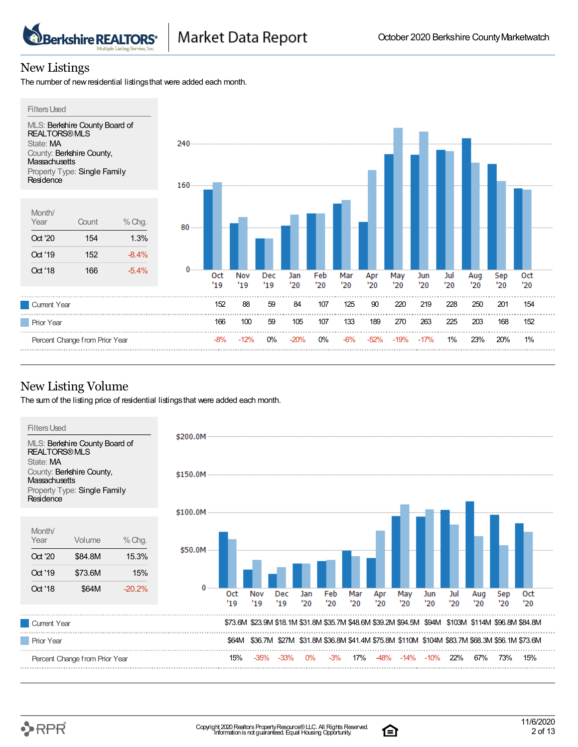#### New Listings

The number of new residential listings that were added each month.

**Berkshire REALTORS®** 



#### New Listing Volume

The sum of the listing price of residential listings that were added each month.



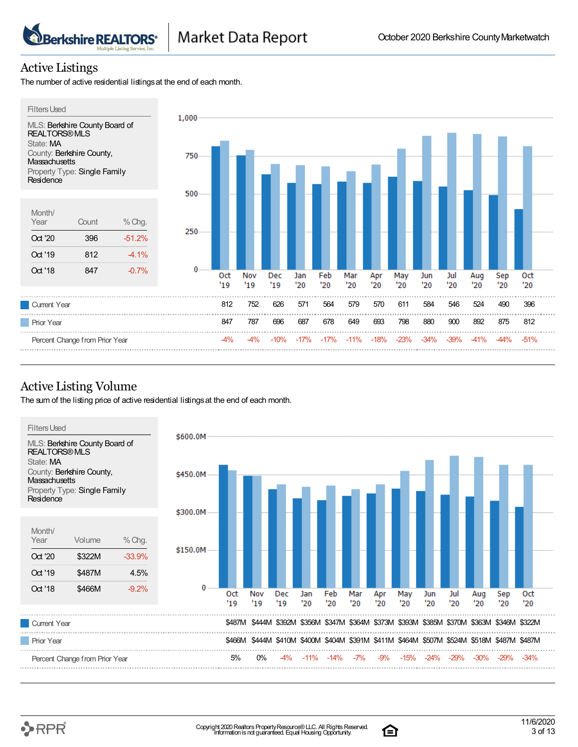#### Active Listings

The number of active residential listings at the end of each month.

**Berkshire REALTORS®** 



#### Active Listing Volume

The sum of the listing price of active residential listings at the end of each month.



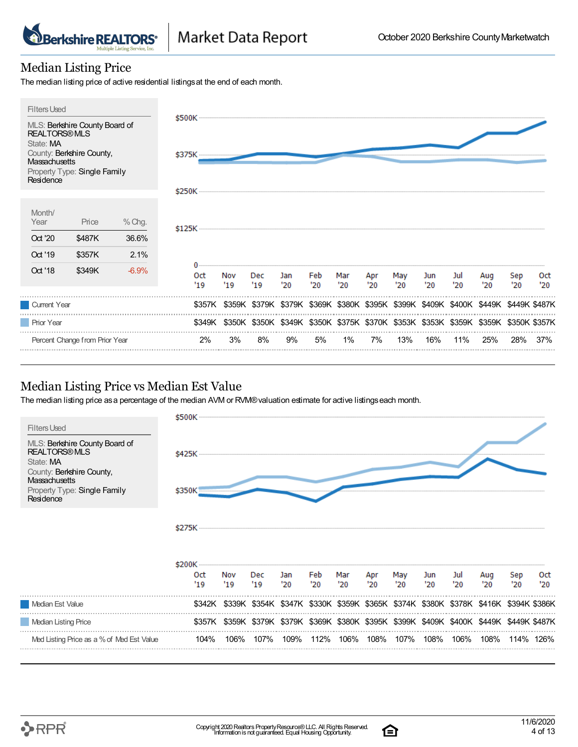

#### Median Listing Price

The median listing price of active residential listings at the end of each month.



#### Median Listing Price vs Median Est Value

The median listing price as a percentage of the median AVM or RVM® valuation estimate for active listings each month.



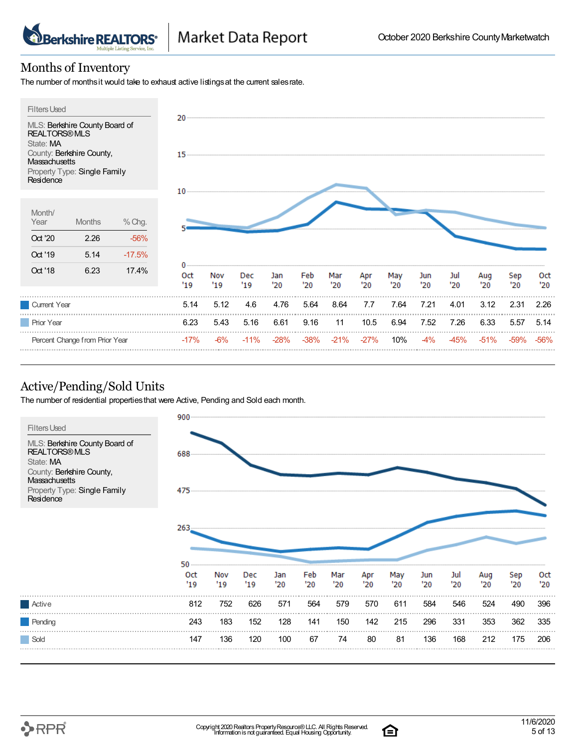#### Months of Inventory

The number of monthsit would take to exhaust active listings at the current sales rate.



## Active/Pending/Sold Units

The number of residential propertiesthat were Active, Pending and Sold each month.



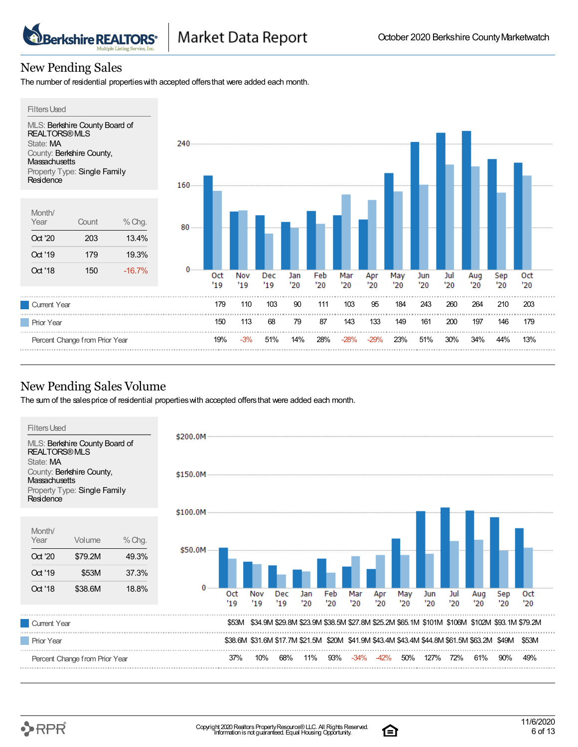## New Pending Sales

**Berkshire REALTORS\*** 

The number of residential propertieswith accepted offersthat were added each month.



#### New Pending Sales Volume

The sum of the sales price of residential properties with accepted offers that were added each month.

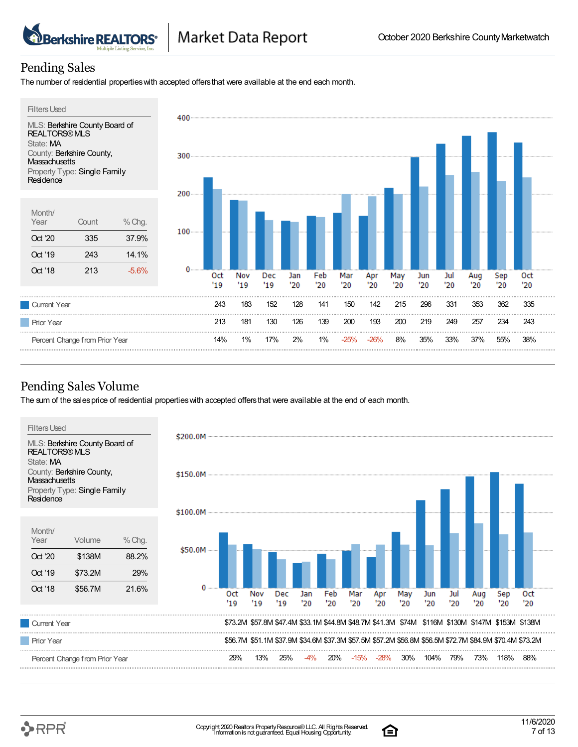#### Pending Sales

The number of residential propertieswith accepted offersthat were available at the end each month.



#### Pending Sales Volume

The sum of the salesprice of residential propertieswith accepted offersthat were available at the end of each month.

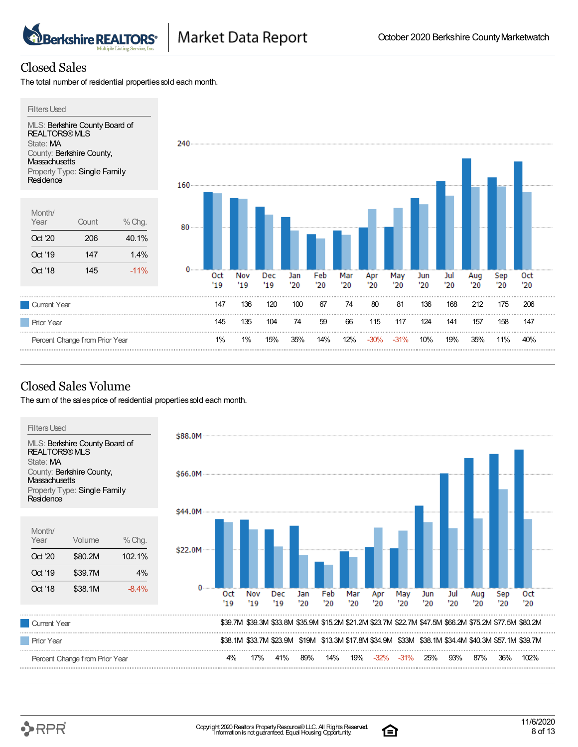#### Closed Sales

The total number of residential properties sold each month.

**Berkshire REALTORS\*** 



## Closed Sales Volume

The sum of the sales price of residential properties sold each month.

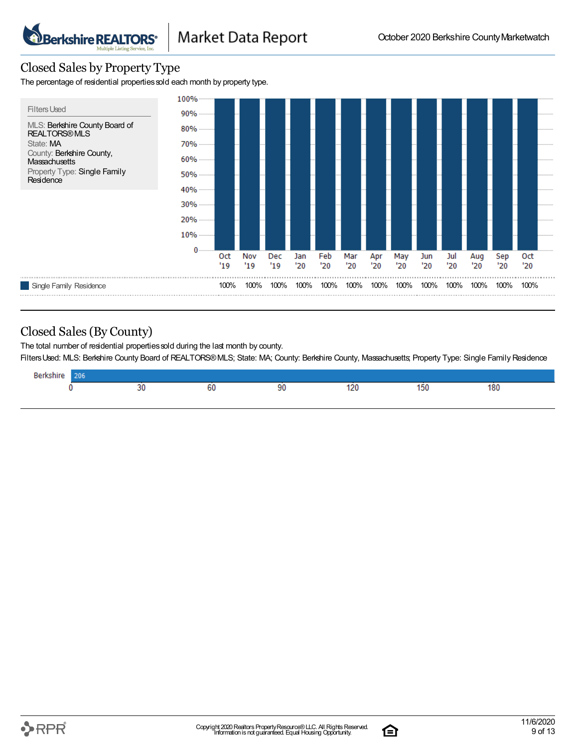#### Closed Sales by Property Type

**Berkshire REALTORS®** 

The percentage of residential properties sold each month by property type.



#### Closed Sales(By County)

The total number of residential properties sold during the last month by county.

FiltersUsed: MLS: Berkshire County Board of REALTORS®MLS; State: MA; County: Berkshire County, Massachusetts; Property Type: Single Family Residence

| <b>Berkshir</b><br>.<br>zuo |          |                  |    |               |          |     |  |
|-----------------------------|----------|------------------|----|---------------|----------|-----|--|
|                             | --<br>-- | oι<br>--<br>$ -$ | 90 | 120<br>$\sim$ | .<br>າວບ | 180 |  |
|                             |          |                  |    |               |          |     |  |

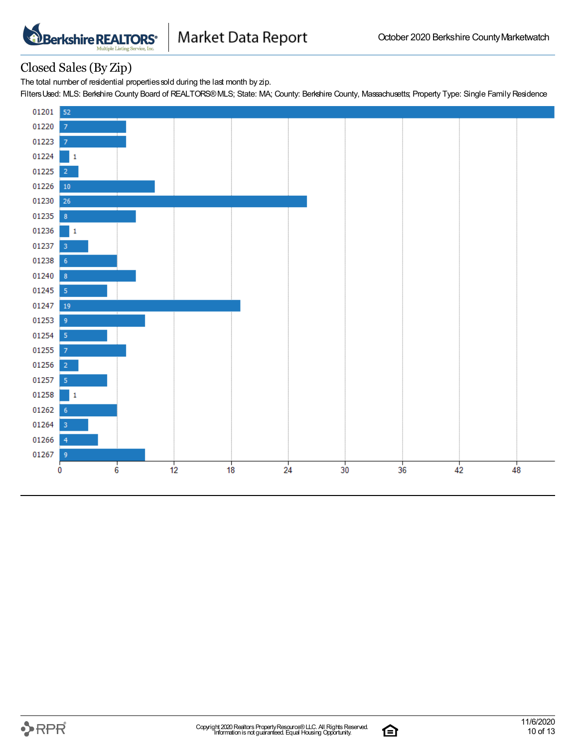

#### Closed Sales(By Zip)

The total number of residential properties sold during the last month by zip.

FiltersUsed: MLS: Berkshire County Board of REALTORS®MLS; State: MA; County: Berkshire County, Massachusetts; Property Type: Single Family Residence



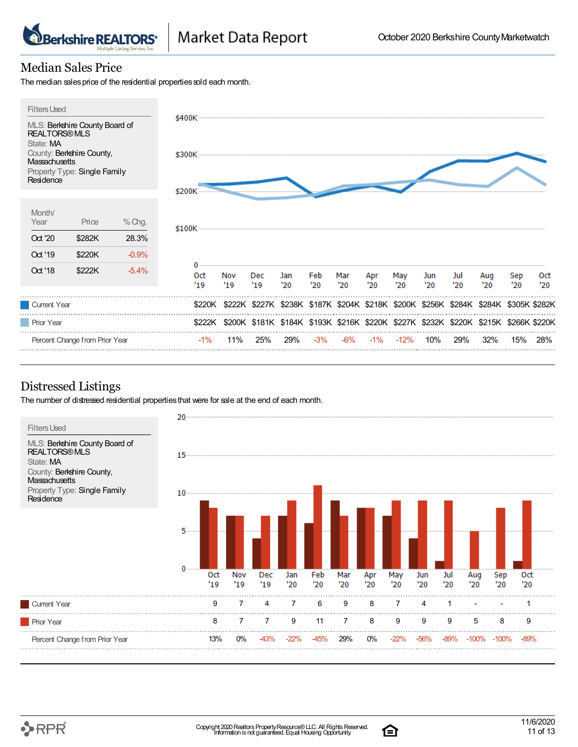# Median Sales Price

**Berkshire REALTORS\*** 

The median sales price of the residential properties sold each month.



## Distressed Listings

The number of distressed residential propertiesthat were for sale at the end of each month.



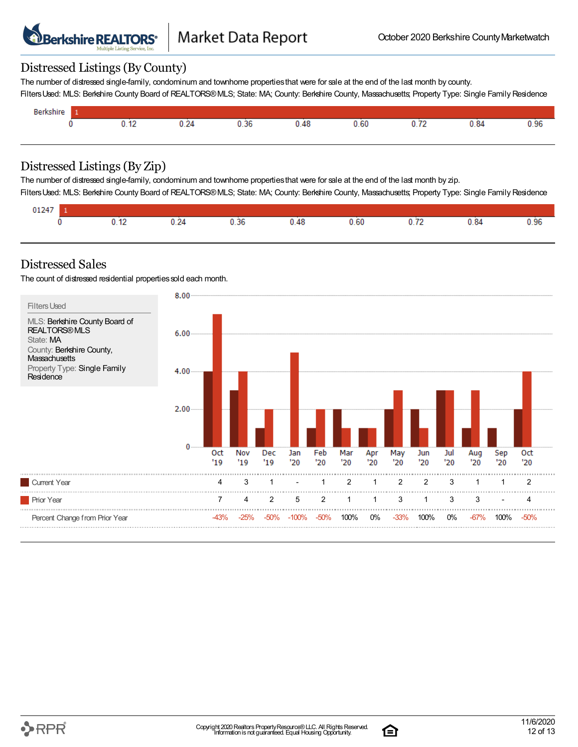

#### Distressed Listings(By County)

The number of distressed single-family, condominum and townhome propertiesthat were for sale at the end of the last month by county. FiltersUsed: MLS: Berkshire County Board of REALTORS®MLS; State: MA; County: Berkshire County, Massachusetts; Property Type: Single Family Residence

| /nir<br>υc |     |                       |                    |     |      |                                        |      |      |
|------------|-----|-----------------------|--------------------|-----|------|----------------------------------------|------|------|
|            | . . | <del>. .</del><br>___ | -<br>U. 36<br>---- | -48 | 0.60 | $\overline{\phantom{a}}$<br>. <u>.</u> | 0.84 | 0.96 |
|            |     |                       |                    |     |      |                                        |      |      |

#### Distressed Listings(By Zip)

The number of distressed single-family, condominum and townhome propertiesthat were for sale at the end of the last month by zip.

FiltersUsed: MLS: Berkshire County Board of REALTORS®MLS; State: MA; County: Berkshire County, Massachusetts; Property Type: Single Family Residence

| 01247 |          |                             |      |        |      |          |      |      |
|-------|----------|-----------------------------|------|--------|------|----------|------|------|
|       | $\cdots$ | $\mathbf{v}$ . $\mathbf{v}$ | 0.36 | 40<br> | 0.60 | $\cdots$ | 0.84 | 0.96 |

#### Distressed Sales

The count of distressed residential properties sold each month.